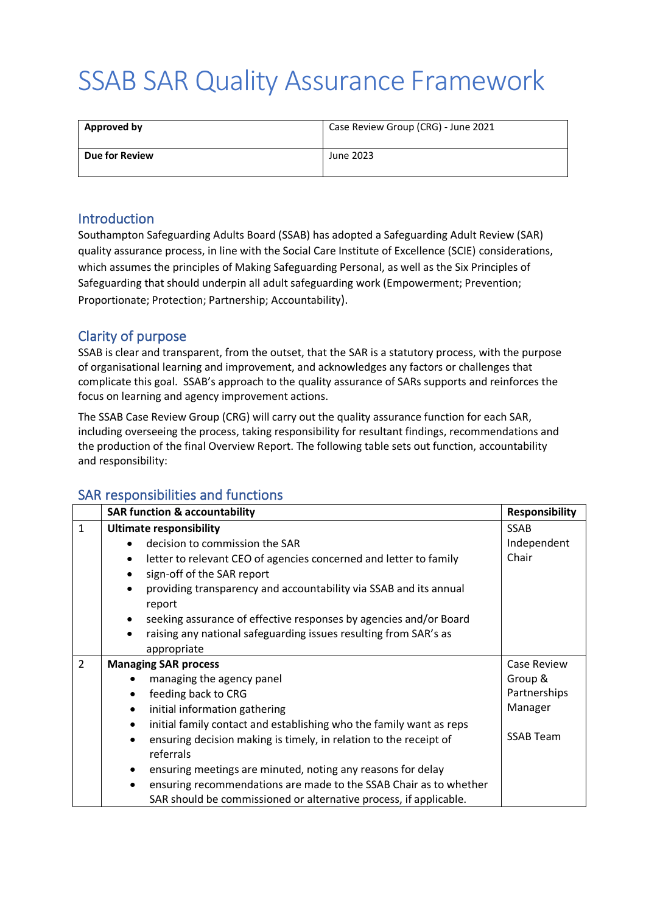# SSAB SAR Quality Assurance Framework

| <b>Approved by</b>    | Case Review Group (CRG) - June 2021 |
|-----------------------|-------------------------------------|
| <b>Due for Review</b> | June 2023                           |

#### **Introduction**

Southampton Safeguarding Adults Board (SSAB) has adopted a Safeguarding Adult Review (SAR) quality assurance process, in line with the Social Care Institute of Excellence (SCIE) considerations, which assumes the principles of Making Safeguarding Personal, as well as the Six Principles of Safeguarding that should underpin all adult safeguarding work (Empowerment; Prevention; Proportionate; Protection; Partnership; Accountability).

### Clarity of purpose

SSAB is clear and transparent, from the outset, that the SAR is a statutory process, with the purpose of organisational learning and improvement, and acknowledges any factors or challenges that complicate this goal. SSAB's approach to the quality assurance of SARs supports and reinforces the focus on learning and agency improvement actions.

The SSAB Case Review Group (CRG) will carry out the quality assurance function for each SAR, including overseeing the process, taking responsibility for resultant findings, recommendations and the production of the final Overview Report. The following table sets out function, accountability and responsibility:

### SAR responsibilities and functions

|                | <b>SAR function &amp; accountability</b><br><b>Responsibility</b>                        |                    |  |
|----------------|------------------------------------------------------------------------------------------|--------------------|--|
| $\mathbf{1}$   | <b>Ultimate responsibility</b>                                                           | <b>SSAB</b>        |  |
|                | decision to commission the SAR                                                           | Independent        |  |
|                | letter to relevant CEO of agencies concerned and letter to family<br>٠                   | Chair              |  |
|                | sign-off of the SAR report<br>$\bullet$                                                  |                    |  |
|                | providing transparency and accountability via SSAB and its annual<br>$\bullet$<br>report |                    |  |
|                | seeking assurance of effective responses by agencies and/or Board<br>$\bullet$           |                    |  |
|                | raising any national safeguarding issues resulting from SAR's as<br>٠                    |                    |  |
|                | appropriate                                                                              |                    |  |
| $\overline{2}$ | <b>Managing SAR process</b>                                                              | <b>Case Review</b> |  |
|                | managing the agency panel                                                                | Group &            |  |
|                | feeding back to CRG<br>٠                                                                 | Partnerships       |  |
|                | initial information gathering<br>$\bullet$                                               | Manager            |  |
|                | initial family contact and establishing who the family want as reps<br>$\bullet$         |                    |  |
|                | ensuring decision making is timely, in relation to the receipt of<br>$\bullet$           | <b>SSAB Team</b>   |  |
|                | referrals                                                                                |                    |  |
|                | ensuring meetings are minuted, noting any reasons for delay<br>$\bullet$                 |                    |  |
|                | ensuring recommendations are made to the SSAB Chair as to whether<br>$\bullet$           |                    |  |
|                | SAR should be commissioned or alternative process, if applicable.                        |                    |  |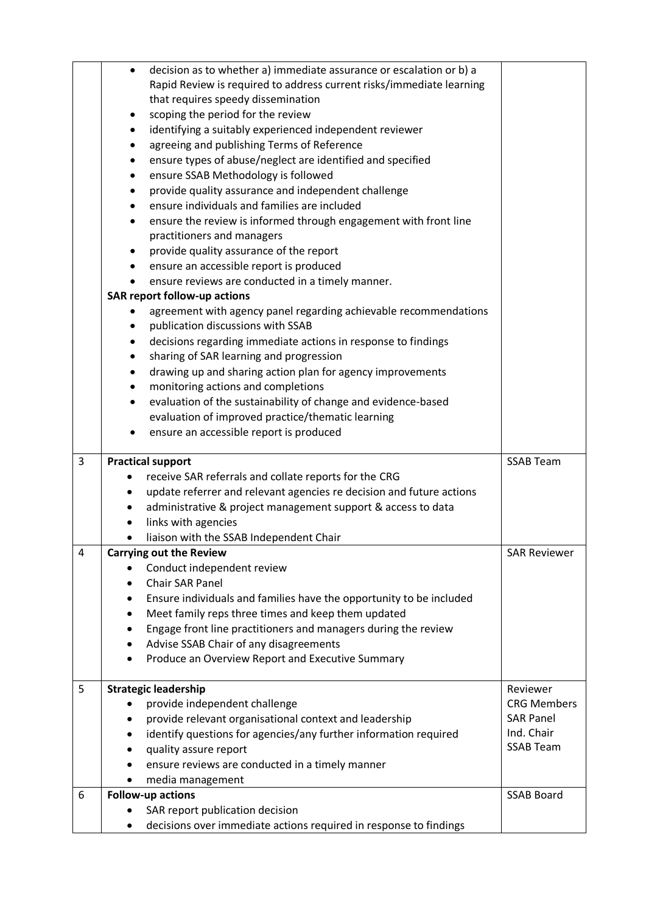|   | decision as to whether a) immediate assurance or escalation or b) a<br>$\bullet$                     |                     |
|---|------------------------------------------------------------------------------------------------------|---------------------|
|   | Rapid Review is required to address current risks/immediate learning                                 |                     |
|   | that requires speedy dissemination                                                                   |                     |
|   | scoping the period for the review<br>٠<br>identifying a suitably experienced independent reviewer    |                     |
|   | ٠<br>agreeing and publishing Terms of Reference                                                      |                     |
|   | ensure types of abuse/neglect are identified and specified                                           |                     |
|   | ensure SSAB Methodology is followed<br>٠                                                             |                     |
|   | provide quality assurance and independent challenge<br>٠                                             |                     |
|   | ensure individuals and families are included                                                         |                     |
|   | ensure the review is informed through engagement with front line<br>٠                                |                     |
|   | practitioners and managers                                                                           |                     |
|   | provide quality assurance of the report<br>٠                                                         |                     |
|   | ensure an accessible report is produced<br>٠                                                         |                     |
|   | ensure reviews are conducted in a timely manner.<br>$\bullet$                                        |                     |
|   | <b>SAR report follow-up actions</b>                                                                  |                     |
|   | agreement with agency panel regarding achievable recommendations                                     |                     |
|   | publication discussions with SSAB                                                                    |                     |
|   | decisions regarding immediate actions in response to findings<br>٠                                   |                     |
|   | sharing of SAR learning and progression<br>٠                                                         |                     |
|   | drawing up and sharing action plan for agency improvements                                           |                     |
|   | monitoring actions and completions<br>$\bullet$                                                      |                     |
|   | evaluation of the sustainability of change and evidence-based<br>٠                                   |                     |
|   | evaluation of improved practice/thematic learning                                                    |                     |
|   | ensure an accessible report is produced                                                              |                     |
|   |                                                                                                      |                     |
| 3 |                                                                                                      | <b>SSAB Team</b>    |
|   | <b>Practical support</b><br>receive SAR referrals and collate reports for the CRG<br>٠               |                     |
|   | update referrer and relevant agencies re decision and future actions<br>٠                            |                     |
|   | administrative & project management support & access to data<br>٠                                    |                     |
|   | links with agencies<br>٠                                                                             |                     |
|   | liaison with the SSAB Independent Chair<br>٠                                                         |                     |
| 4 | <b>Carrying out the Review</b>                                                                       | <b>SAR Reviewer</b> |
|   | Conduct independent review                                                                           |                     |
|   | Chair SAR Panel                                                                                      |                     |
|   | Ensure individuals and families have the opportunity to be included<br>٠                             |                     |
|   | Meet family reps three times and keep them updated<br>٠                                              |                     |
|   | Engage front line practitioners and managers during the review<br>٠                                  |                     |
|   | Advise SSAB Chair of any disagreements<br>٠                                                          |                     |
|   | Produce an Overview Report and Executive Summary                                                     |                     |
| 5 | <b>Strategic leadership</b>                                                                          | Reviewer            |
|   | provide independent challenge                                                                        | <b>CRG Members</b>  |
|   | provide relevant organisational context and leadership                                               | <b>SAR Panel</b>    |
|   | identify questions for agencies/any further information required<br>٠                                | Ind. Chair          |
|   | quality assure report<br>٠                                                                           | <b>SSAB Team</b>    |
|   | ensure reviews are conducted in a timely manner                                                      |                     |
|   | media management                                                                                     |                     |
| 6 | <b>Follow-up actions</b>                                                                             | <b>SSAB Board</b>   |
|   | SAR report publication decision<br>decisions over immediate actions required in response to findings |                     |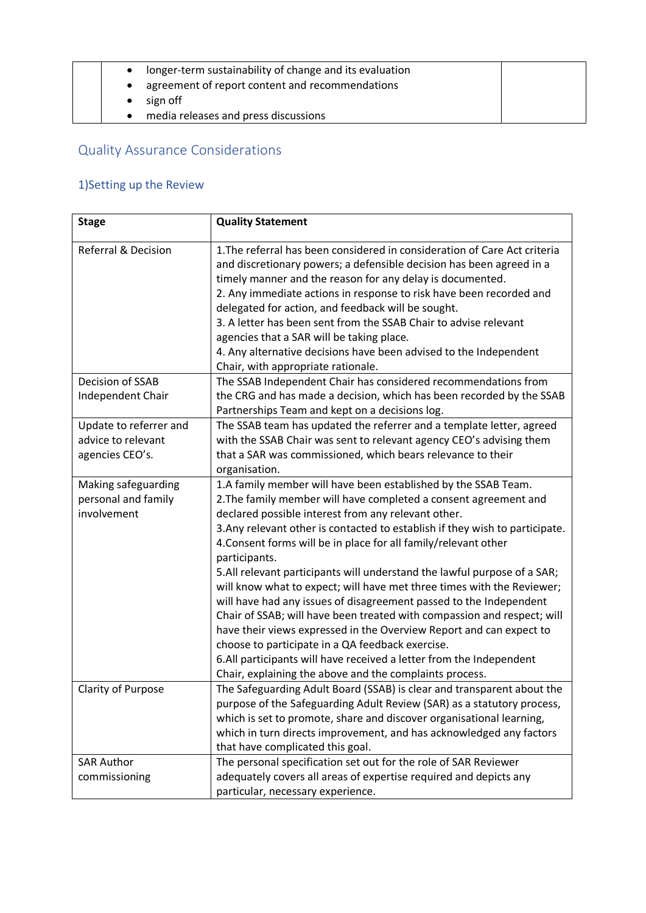|   | longer-term sustainability of change and its evaluation |  |
|---|---------------------------------------------------------|--|
|   | agreement of report content and recommendations         |  |
|   | sign off                                                |  |
| ٠ | media releases and press discussions                    |  |

# Quality Assurance Considerations

# 1)Setting up the Review

| <b>Stage</b>                                                    | <b>Quality Statement</b>                                                                                                                                                                                                                                                                                                                                                                                                                                                                                                                                                |
|-----------------------------------------------------------------|-------------------------------------------------------------------------------------------------------------------------------------------------------------------------------------------------------------------------------------------------------------------------------------------------------------------------------------------------------------------------------------------------------------------------------------------------------------------------------------------------------------------------------------------------------------------------|
| <b>Referral &amp; Decision</b>                                  | 1. The referral has been considered in consideration of Care Act criteria<br>and discretionary powers; a defensible decision has been agreed in a<br>timely manner and the reason for any delay is documented.<br>2. Any immediate actions in response to risk have been recorded and<br>delegated for action, and feedback will be sought.<br>3. A letter has been sent from the SSAB Chair to advise relevant<br>agencies that a SAR will be taking place.<br>4. Any alternative decisions have been advised to the Independent<br>Chair, with appropriate rationale. |
| Decision of SSAB                                                | The SSAB Independent Chair has considered recommendations from                                                                                                                                                                                                                                                                                                                                                                                                                                                                                                          |
| Independent Chair                                               | the CRG and has made a decision, which has been recorded by the SSAB<br>Partnerships Team and kept on a decisions log.                                                                                                                                                                                                                                                                                                                                                                                                                                                  |
| Update to referrer and<br>advice to relevant<br>agencies CEO's. | The SSAB team has updated the referrer and a template letter, agreed<br>with the SSAB Chair was sent to relevant agency CEO's advising them<br>that a SAR was commissioned, which bears relevance to their<br>organisation.                                                                                                                                                                                                                                                                                                                                             |
| Making safeguarding<br>personal and family                      | 1.A family member will have been established by the SSAB Team.<br>2. The family member will have completed a consent agreement and                                                                                                                                                                                                                                                                                                                                                                                                                                      |
| involvement                                                     | declared possible interest from any relevant other.<br>3. Any relevant other is contacted to establish if they wish to participate.<br>4. Consent forms will be in place for all family/relevant other<br>participants.                                                                                                                                                                                                                                                                                                                                                 |
|                                                                 | 5.All relevant participants will understand the lawful purpose of a SAR;<br>will know what to expect; will have met three times with the Reviewer;<br>will have had any issues of disagreement passed to the Independent<br>Chair of SSAB; will have been treated with compassion and respect; will<br>have their views expressed in the Overview Report and can expect to<br>choose to participate in a QA feedback exercise.<br>6.All participants will have received a letter from the Independent<br>Chair, explaining the above and the complaints process.        |
| Clarity of Purpose                                              | The Safeguarding Adult Board (SSAB) is clear and transparent about the<br>purpose of the Safeguarding Adult Review (SAR) as a statutory process,<br>which is set to promote, share and discover organisational learning,<br>which in turn directs improvement, and has acknowledged any factors<br>that have complicated this goal.                                                                                                                                                                                                                                     |
| <b>SAR Author</b>                                               | The personal specification set out for the role of SAR Reviewer                                                                                                                                                                                                                                                                                                                                                                                                                                                                                                         |
| commissioning                                                   | adequately covers all areas of expertise required and depicts any<br>particular, necessary experience.                                                                                                                                                                                                                                                                                                                                                                                                                                                                  |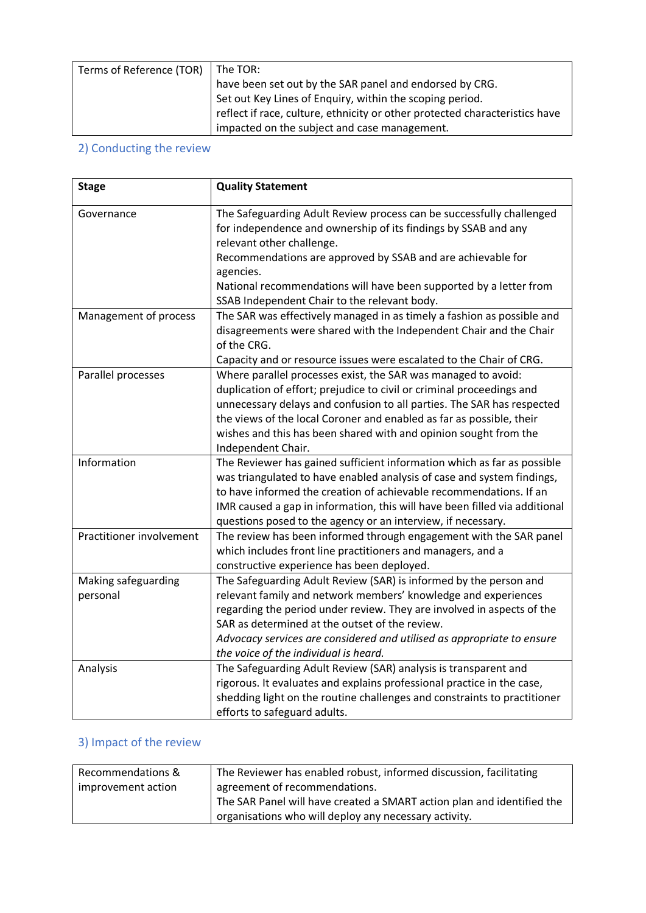| Terms of Reference (TOR) The TOR: |                                                                             |
|-----------------------------------|-----------------------------------------------------------------------------|
|                                   | have been set out by the SAR panel and endorsed by CRG.                     |
|                                   | Set out Key Lines of Enquiry, within the scoping period.                    |
|                                   | reflect if race, culture, ethnicity or other protected characteristics have |
|                                   | impacted on the subject and case management.                                |

## 2) Conducting the review

| <b>Stage</b>             | <b>Quality Statement</b>                                                                                                                                            |
|--------------------------|---------------------------------------------------------------------------------------------------------------------------------------------------------------------|
| Governance               | The Safeguarding Adult Review process can be successfully challenged<br>for independence and ownership of its findings by SSAB and any<br>relevant other challenge. |
|                          | Recommendations are approved by SSAB and are achievable for                                                                                                         |
|                          | agencies.                                                                                                                                                           |
|                          | National recommendations will have been supported by a letter from                                                                                                  |
|                          | SSAB Independent Chair to the relevant body.                                                                                                                        |
| Management of process    | The SAR was effectively managed in as timely a fashion as possible and                                                                                              |
|                          | disagreements were shared with the Independent Chair and the Chair                                                                                                  |
|                          | of the CRG.                                                                                                                                                         |
|                          | Capacity and or resource issues were escalated to the Chair of CRG.                                                                                                 |
| Parallel processes       | Where parallel processes exist, the SAR was managed to avoid:                                                                                                       |
|                          | duplication of effort; prejudice to civil or criminal proceedings and                                                                                               |
|                          | unnecessary delays and confusion to all parties. The SAR has respected                                                                                              |
|                          | the views of the local Coroner and enabled as far as possible, their                                                                                                |
|                          | wishes and this has been shared with and opinion sought from the                                                                                                    |
|                          | Independent Chair.                                                                                                                                                  |
| Information              | The Reviewer has gained sufficient information which as far as possible                                                                                             |
|                          | was triangulated to have enabled analysis of case and system findings,                                                                                              |
|                          | to have informed the creation of achievable recommendations. If an                                                                                                  |
|                          | IMR caused a gap in information, this will have been filled via additional<br>questions posed to the agency or an interview, if necessary.                          |
| Practitioner involvement | The review has been informed through engagement with the SAR panel                                                                                                  |
|                          | which includes front line practitioners and managers, and a                                                                                                         |
|                          | constructive experience has been deployed.                                                                                                                          |
| Making safeguarding      | The Safeguarding Adult Review (SAR) is informed by the person and                                                                                                   |
| personal                 | relevant family and network members' knowledge and experiences                                                                                                      |
|                          | regarding the period under review. They are involved in aspects of the                                                                                              |
|                          | SAR as determined at the outset of the review.                                                                                                                      |
|                          | Advocacy services are considered and utilised as appropriate to ensure                                                                                              |
|                          | the voice of the individual is heard.                                                                                                                               |
| Analysis                 | The Safeguarding Adult Review (SAR) analysis is transparent and                                                                                                     |
|                          | rigorous. It evaluates and explains professional practice in the case,                                                                                              |
|                          | shedding light on the routine challenges and constraints to practitioner                                                                                            |
|                          | efforts to safeguard adults.                                                                                                                                        |

## 3) Impact of the review

| Recommendations &  | The Reviewer has enabled robust, informed discussion, facilitating     |
|--------------------|------------------------------------------------------------------------|
| improvement action | agreement of recommendations.                                          |
|                    | The SAR Panel will have created a SMART action plan and identified the |
|                    | organisations who will deploy any necessary activity.                  |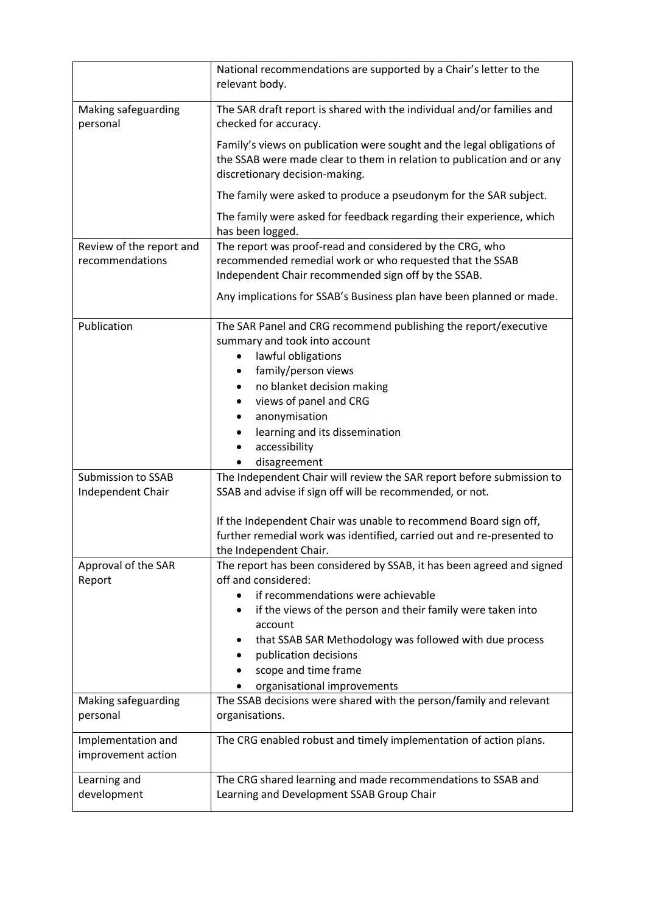|                                             | National recommendations are supported by a Chair's letter to the<br>relevant body.                                                                                                                                                                                                                                                                          |
|---------------------------------------------|--------------------------------------------------------------------------------------------------------------------------------------------------------------------------------------------------------------------------------------------------------------------------------------------------------------------------------------------------------------|
| Making safeguarding<br>personal             | The SAR draft report is shared with the individual and/or families and<br>checked for accuracy.                                                                                                                                                                                                                                                              |
|                                             | Family's views on publication were sought and the legal obligations of<br>the SSAB were made clear to them in relation to publication and or any<br>discretionary decision-making.                                                                                                                                                                           |
|                                             | The family were asked to produce a pseudonym for the SAR subject.                                                                                                                                                                                                                                                                                            |
|                                             | The family were asked for feedback regarding their experience, which<br>has been logged.                                                                                                                                                                                                                                                                     |
| Review of the report and<br>recommendations | The report was proof-read and considered by the CRG, who<br>recommended remedial work or who requested that the SSAB<br>Independent Chair recommended sign off by the SSAB.                                                                                                                                                                                  |
|                                             | Any implications for SSAB's Business plan have been planned or made.                                                                                                                                                                                                                                                                                         |
| Publication                                 | The SAR Panel and CRG recommend publishing the report/executive<br>summary and took into account<br>lawful obligations<br>family/person views<br>no blanket decision making<br>views of panel and CRG<br>anonymisation<br>learning and its dissemination<br>accessibility<br>disagreement                                                                    |
| Submission to SSAB                          | The Independent Chair will review the SAR report before submission to                                                                                                                                                                                                                                                                                        |
| Independent Chair                           | SSAB and advise if sign off will be recommended, or not.                                                                                                                                                                                                                                                                                                     |
|                                             | If the Independent Chair was unable to recommend Board sign off,<br>further remedial work was identified, carried out and re-presented to<br>the Independent Chair.                                                                                                                                                                                          |
| Approval of the SAR<br>Report               | The report has been considered by SSAB, it has been agreed and signed<br>off and considered:<br>if recommendations were achievable<br>if the views of the person and their family were taken into<br>٠<br>account<br>that SSAB SAR Methodology was followed with due process<br>publication decisions<br>scope and time frame<br>organisational improvements |
| Making safeguarding                         | The SSAB decisions were shared with the person/family and relevant                                                                                                                                                                                                                                                                                           |
| personal                                    | organisations.                                                                                                                                                                                                                                                                                                                                               |
| Implementation and<br>improvement action    | The CRG enabled robust and timely implementation of action plans.                                                                                                                                                                                                                                                                                            |
| Learning and                                | The CRG shared learning and made recommendations to SSAB and                                                                                                                                                                                                                                                                                                 |
| development                                 | Learning and Development SSAB Group Chair                                                                                                                                                                                                                                                                                                                    |